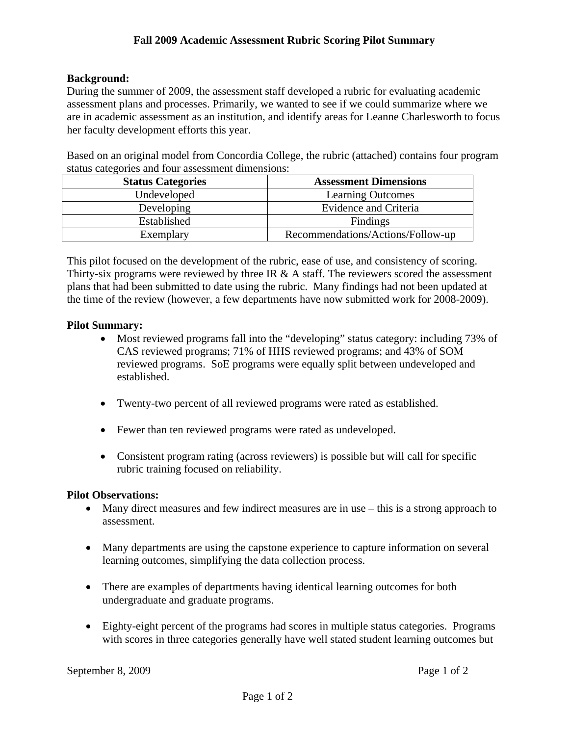# **Background:**

During the summer of 2009, the assessment staff developed a rubric for evaluating academic assessment plans and processes. Primarily, we wanted to see if we could summarize where we are in academic assessment as an institution, and identify areas for Leanne Charlesworth to focus her faculty development efforts this year.

Based on an original model from Concordia College, the rubric (attached) contains four program status categories and four assessment dimensions:

| <b>Status Categories</b> | <b>Assessment Dimensions</b>      |
|--------------------------|-----------------------------------|
| Undeveloped              | <b>Learning Outcomes</b>          |
| Developing               | Evidence and Criteria             |
| Established              | Findings                          |
| Exemplary                | Recommendations/Actions/Follow-up |

This pilot focused on the development of the rubric, ease of use, and consistency of scoring. Thirty-six programs were reviewed by three IR & A staff. The reviewers scored the assessment plans that had been submitted to date using the rubric. Many findings had not been updated at the time of the review (however, a few departments have now submitted work for 2008-2009).

# **Pilot Summary:**

- Most reviewed programs fall into the "developing" status category: including 73% of CAS reviewed programs; 71% of HHS reviewed programs; and 43% of SOM reviewed programs. SoE programs were equally split between undeveloped and established.
- Twenty-two percent of all reviewed programs were rated as established.
- Fewer than ten reviewed programs were rated as undeveloped.
- Consistent program rating (across reviewers) is possible but will call for specific rubric training focused on reliability.

# **Pilot Observations:**

- Many direct measures and few indirect measures are in use this is a strong approach to assessment.
- Many departments are using the capstone experience to capture information on several learning outcomes, simplifying the data collection process.
- There are examples of departments having identical learning outcomes for both undergraduate and graduate programs.
- Eighty-eight percent of the programs had scores in multiple status categories. Programs with scores in three categories generally have well stated student learning outcomes but